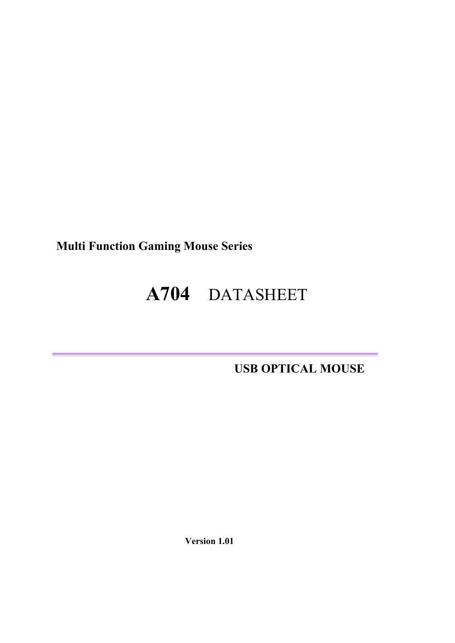**Multi Function Gaming Mouse Series** 

# **A704** DATASHEET

 **USB OPTICAL MOUSE** 

 **Version 1.01**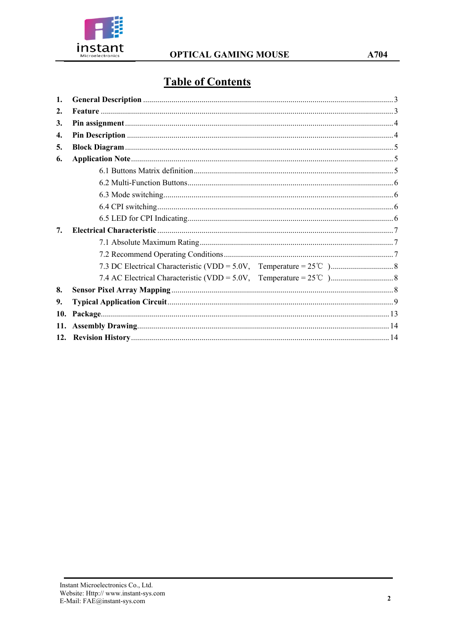

# **Table of Contents**

| 1.               |  |
|------------------|--|
| $\overline{2}$ . |  |
| 3.               |  |
| 4.               |  |
| 5.               |  |
| 6.               |  |
|                  |  |
|                  |  |
|                  |  |
|                  |  |
|                  |  |
| 7.               |  |
|                  |  |
|                  |  |
|                  |  |
|                  |  |
| 8.               |  |
| 9.               |  |
| 10.              |  |
| 11.              |  |
| 12.              |  |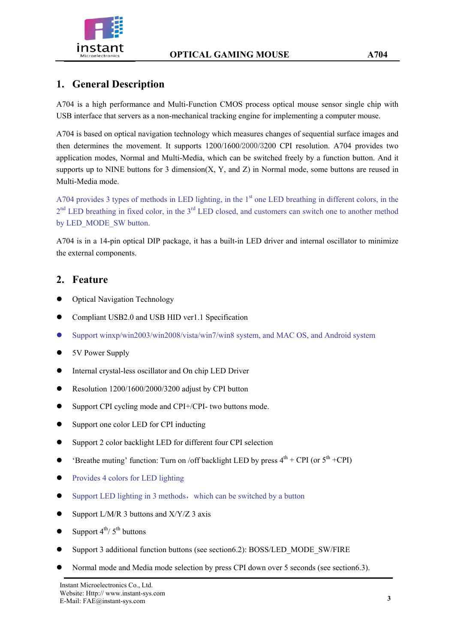



# **1. General Description**

A704 is a high performance and Multi-Function CMOS process optical mouse sensor single chip with USB interface that servers as a non-mechanical tracking engine for implementing a computer mouse.

A704 is based on optical navigation technology which measures changes of sequential surface images and then determines the movement. It supports 1200/1600/2000/3200 CPI resolution. A704 provides two application modes, Normal and Multi-Media, which can be switched freely by a function button. And it supports up to NINE buttons for 3 dimension $(X, Y,$  and  $Z)$  in Normal mode, some buttons are reused in Multi-Media mode.

A704 provides 3 types of methods in LED lighting, in the 1<sup>st</sup> one LED breathing in different colors, in the 2<sup>nd</sup> LED breathing in fixed color, in the 3<sup>rd</sup> LED closed, and customers can switch one to another method by LED\_MODE\_SW button.

A704 is in a 14-pin optical DIP package, it has a built-in LED driver and internal oscillator to minimize the external components.

#### **2. Feature**

- Optical Navigation Technology
- Compliant USB2.0 and USB HID ver1.1 Specification
- Support winxp/win2003/win2008/vista/win7/win8 system, and MAC OS, and Android system
- 5V Power Supply
- Internal crystal-less oscillator and On chip LED Driver
- Resolution 1200/1600/2000/3200 adjust by CPI button
- Support CPI cycling mode and CPI+/CPI- two buttons mode.
- Support one color LED for CPI inducting
- Support 2 color backlight LED for different four CPI selection
- 'Breathe muting' function: Turn on /off backlight LED by press  $4^{th}$  + CPI (or  $5^{th}$  +CPI)
- Provides 4 colors for LED lighting
- $\bullet$  Support LED lighting in 3 methods, which can be switched by a button
- $\bullet$  Support L/M/R 3 buttons and X/Y/Z 3 axis
- $\bullet$  Support  $4^{th}/5^{th}$  buttons
- Support 3 additional function buttons (see section6.2): BOSS/LED\_MODE\_SW/FIRE
- Normal mode and Media mode selection by press CPI down over 5 seconds (see section6.3).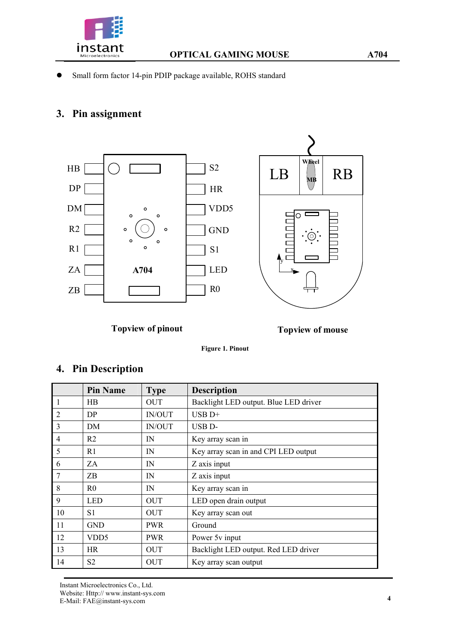

Small form factor 14-pin PDIP package available, ROHS standard

### **3. Pin assignment**



**Topview of pinout**

**Topview of mouse**

 **Figure 1. Pinout** 

# **4. Pin Description**

|                | <b>Pin Name</b>  | <b>Type</b>   | <b>Description</b>                    |
|----------------|------------------|---------------|---------------------------------------|
| $\overline{1}$ | <b>HB</b>        | <b>OUT</b>    | Backlight LED output. Blue LED driver |
| 2              | DP.              | <b>IN/OUT</b> | $\overline{UBB}D+$                    |
| $\overline{3}$ | DM               | <b>IN/OUT</b> | USB D-                                |
| $\overline{4}$ | R <sub>2</sub>   | IN            | Key array scan in                     |
| 5              | R1               | IN            | Key array scan in and CPI LED output  |
| 6              | ZA               | IN            | Z axis input                          |
| $\overline{7}$ | ZB               | $_{\rm IN}$   | Z axis input                          |
| 8              | R <sub>0</sub>   | IN            | Key array scan in                     |
| 9              | <b>LED</b>       | <b>OUT</b>    | LED open drain output                 |
| 10             | S1               | <b>OUT</b>    | Key array scan out                    |
| 11             | <b>GND</b>       | <b>PWR</b>    | Ground                                |
| 12             | VDD <sub>5</sub> | <b>PWR</b>    | Power 5v input                        |
| 13             | <b>HR</b>        | <b>OUT</b>    | Backlight LED output. Red LED driver  |
| 14             | S <sub>2</sub>   | <b>OUT</b>    | Key array scan output                 |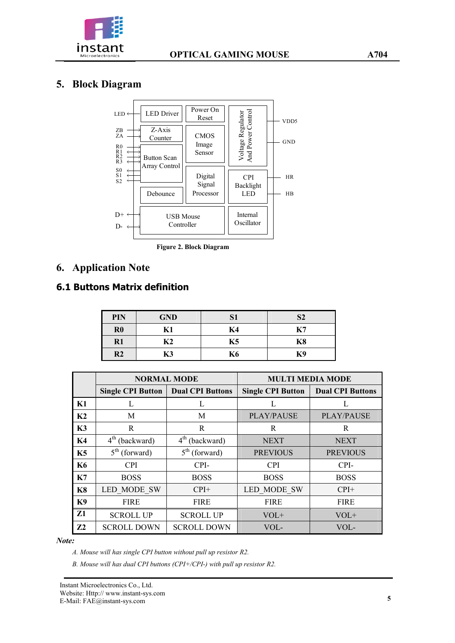

# **5. Block Diagram**



**Figure 2. Block Diagram** 

# **6. Application Note**

#### **6.1 Buttons Matrix definition**

| PIN            | <b>GND</b>     | S1 | S <sub>2</sub> |
|----------------|----------------|----|----------------|
| $\bf R0$       | K1             | K4 | K7             |
| $R1$           | K <sub>2</sub> | K5 | K <sub>8</sub> |
| R <sub>2</sub> | K3             | K6 | K9             |

|                | <b>NORMAL MODE</b>           |                              | <b>MULTI MEDIA MODE</b>  |                         |
|----------------|------------------------------|------------------------------|--------------------------|-------------------------|
|                | <b>Single CPI Button</b>     | <b>Dual CPI Buttons</b>      | <b>Single CPI Button</b> | <b>Dual CPI Buttons</b> |
| K1             | L                            | L                            | L                        |                         |
| K <sub>2</sub> | M                            | M                            | <b>PLAY/PAUSE</b>        | <b>PLAY/PAUSE</b>       |
| K3             | R                            | R                            | R                        | R                       |
| K4             | $4th$ (backward)             | $4th$ (backward)             | <b>NEXT</b>              | <b>NEXT</b>             |
| K5             | $5^{\text{th}}$<br>(forward) | $5^{\text{th}}$<br>(forward) | <b>PREVIOUS</b>          | <b>PREVIOUS</b>         |
| <b>K6</b>      | <b>CPI</b>                   | CPI-                         | <b>CPI</b>               | CPI-                    |
| K7             | <b>BOSS</b>                  | <b>BOSS</b>                  | <b>BOSS</b>              | <b>BOSS</b>             |
| K <sub>8</sub> | LED MODE SW                  | $CPI+$                       | <b>LED MODE SW</b>       | $CPI+$                  |
| K <sub>9</sub> | <b>FIRE</b>                  | <b>FIRE</b>                  | <b>FIRE</b>              | <b>FIRE</b>             |
| Z1             | <b>SCROLL UP</b>             | <b>SCROLL UP</b>             | $VOL+$                   | $VOL+$                  |
| Z2             | <b>SCROLL DOWN</b>           | <b>SCROLL DOWN</b>           | VOL-                     | VOL-                    |

#### *Note:*

*A. Mouse will has single CPI button without pull up resistor R2.* 

*B. Mouse will has dual CPI buttons (CPI+/CPI-) with pull up resistor R2.*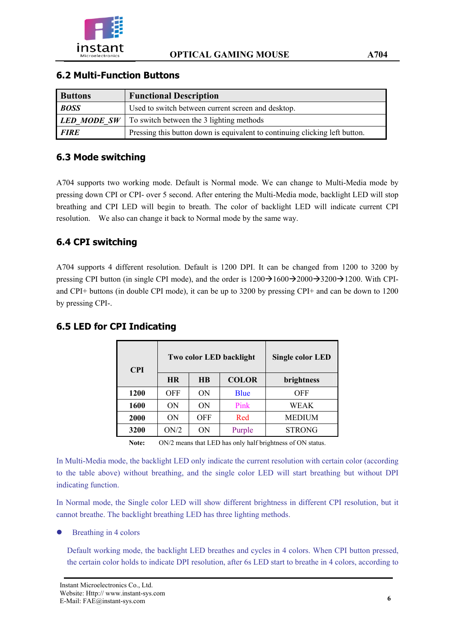

#### **6.2 Multi-Function Buttons**

| <b>Buttons</b> | <b>Functional Description</b>                                               |
|----------------|-----------------------------------------------------------------------------|
| <b>BOSS</b>    | Used to switch between current screen and desktop.                          |
|                | <b>LED MODE SW</b>   To switch between the 3 lighting methods               |
| <b>FIRE</b>    | Pressing this button down is equivalent to continuing clicking left button. |

#### **6.3 Mode switching**

A704 supports two working mode. Default is Normal mode. We can change to Multi-Media mode by pressing down CPI or CPI- over 5 second. After entering the Multi-Media mode, backlight LED will stop breathing and CPI LED will begin to breath. The color of backlight LED will indicate current CPI resolution. We also can change it back to Normal mode by the same way.

#### **6.4 CPI switching**

A704 supports 4 different resolution. Default is 1200 DPI. It can be changed from 1200 to 3200 by pressing CPI button (in single CPI mode), and the order is  $1200\rightarrow 1600\rightarrow 2000\rightarrow 3200\rightarrow 1200$ . With CPIand CPI+ buttons (in double CPI mode), it can be up to 3200 by pressing CPI+ and can be down to 1200 by pressing CPI-.

| <b>CPI</b> |            | Two color LED backlight | <b>Single color LED</b> |               |
|------------|------------|-------------------------|-------------------------|---------------|
|            | <b>HR</b>  | <b>HB</b>               | <b>COLOR</b>            | brightness    |
| 1200       | <b>OFF</b> | ON                      | Blue                    | OFF           |
| 1600       | ON         | ON                      | Pink                    | WEAK          |
| 2000       | ON         | OFF                     | Red                     | <b>MEDIUM</b> |
| 3200       | ON/2       | ON                      | Purple                  | <b>STRONG</b> |

#### **6.5 LED for CPI Indicating**

**Note:** ON/2 means that LED has only half brightness of ON status.

In Multi-Media mode, the backlight LED only indicate the current resolution with certain color (according to the table above) without breathing, and the single color LED will start breathing but without DPI indicating function.

In Normal mode, the Single color LED will show different brightness in different CPI resolution, but it cannot breathe. The backlight breathing LED has three lighting methods.

Breathing in 4 colors

Default working mode, the backlight LED breathes and cycles in 4 colors. When CPI button pressed, the certain color holds to indicate DPI resolution, after 6s LED start to breathe in 4 colors, according to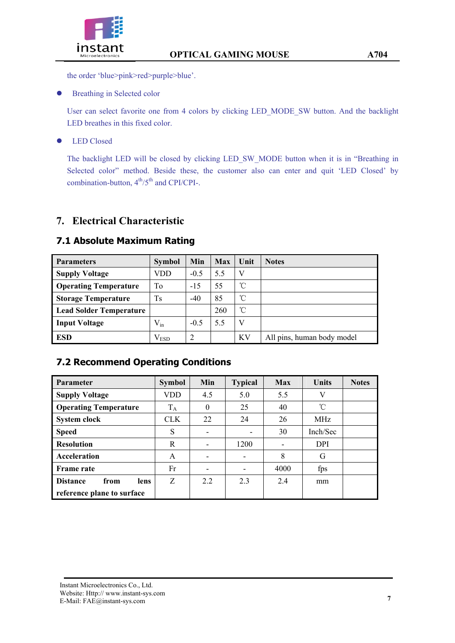

the order 'blue>pink>red>purple>blue'.

**•** Breathing in Selected color

User can select favorite one from 4 colors by clicking LED\_MODE\_SW button. And the backlight LED breathes in this fixed color.

**•** LED Closed

The backlight LED will be closed by clicking LED\_SW\_MODE button when it is in "Breathing in Selected color" method. Beside these, the customer also can enter and quit 'LED Closed' by combination-button,  $4^{th}/5^{th}$  and CPI/CPI-.

### **7. Electrical Characteristic**

| <b>Parameters</b>              | <b>Symbol</b> | Min    | <b>Max</b> | Unit         | <b>Notes</b>               |
|--------------------------------|---------------|--------|------------|--------------|----------------------------|
| <b>Supply Voltage</b>          | VDD           | $-0.5$ | 5.5        | V            |                            |
| <b>Operating Temperature</b>   | To            | $-15$  | 55         | $^{\circ}$ C |                            |
| <b>Storage Temperature</b>     | Ts            | $-40$  | 85         | °C           |                            |
| <b>Lead Solder Temperature</b> |               |        | 260        | °C           |                            |
| <b>Input Voltage</b>           | $V_{in}$      | $-0.5$ | 5.5        | $\mathbf{V}$ |                            |
| <b>ESD</b>                     | $\rm V_{ESD}$ | າ      |            | KV           | All pins, human body model |

#### **7.1 Absolute Maximum Rating**

### **7.2 Recommend Operating Conditions**

| <b>Parameter</b>                | <b>Symbol</b> | Min      | <b>Typical</b> | <b>Max</b> | <b>Units</b> | <b>Notes</b> |
|---------------------------------|---------------|----------|----------------|------------|--------------|--------------|
| <b>Supply Voltage</b>           | VDD           | 4.5      | 5.0            | 5.5        | V            |              |
| <b>Operating Temperature</b>    | $T_A$         | $\theta$ | 25             | 40         | °C           |              |
| System clock                    | <b>CLK</b>    | 22       | 24             | 26         | <b>MHz</b>   |              |
| <b>Speed</b>                    | S             |          | -              | 30         | Inch/Sec     |              |
| <b>Resolution</b>               | R             |          | 1200           |            | <b>DPI</b>   |              |
| Acceleration                    | A             |          | -              | 8          | G            |              |
| <b>Frame rate</b>               | Fr            |          |                | 4000       | fps          |              |
| <b>Distance</b><br>from<br>lens | Z             | 2.2      | 2.3            | 2.4        | mm           |              |
| reference plane to surface      |               |          |                |            |              |              |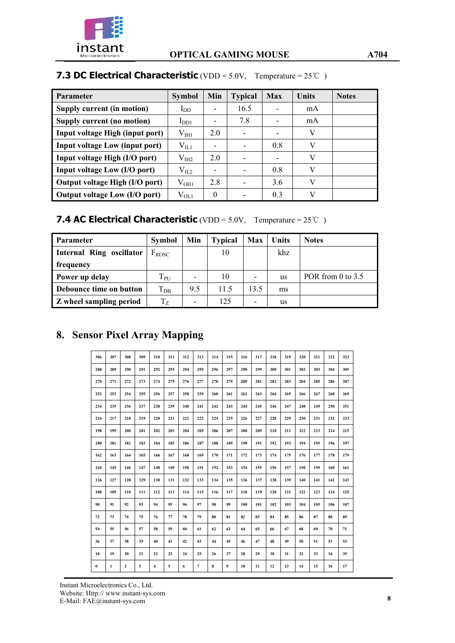

# **7.3 DC Electrical Characteristic** (VDD = 5.0V, Temperature = 25℃)

| <b>Parameter</b>                      | <b>Symbol</b>    | Min                      | <b>Typical</b> | <b>Max</b> | <b>Units</b> | <b>Notes</b> |
|---------------------------------------|------------------|--------------------------|----------------|------------|--------------|--------------|
| Supply current (in motion)            | $I_{DD}$         |                          | 16.5           |            | mA           |              |
| Supply current (no motion)            | $I_{DD1}$        |                          | 7.8            |            | mA           |              |
| Input voltage High (input port)       | $\rm V_{\rm HI}$ | 2.0                      |                |            | V            |              |
| <b>Input voltage Low (input port)</b> | $V_{IL1}$        | $\overline{\phantom{0}}$ |                | 0.8        | V            |              |
| Input voltage High (I/O port)         | $V_{I H2}$       | 2.0                      |                |            | V            |              |
| Input voltage Low (I/O port)          | $\rm V_{IL2}$    | $\overline{\phantom{0}}$ |                | 0.8        | V            |              |
| Output voltage High (I/O port)        | $\rm V_{OH1}$    | 2.8                      |                | 3.6        | V            |              |
| Output voltage Low (I/O port)         | $\rm V_{OL1}$    | 0                        |                | 0.3        |              |              |

#### **7.4 AC Electrical Characteristic** (VDD = 5.0V, Temperature = 25℃)

| <b>Parameter</b>               | <b>Symbol</b>     | Min                      | <b>Typical</b> | Max  | Units | <b>Notes</b>        |
|--------------------------------|-------------------|--------------------------|----------------|------|-------|---------------------|
| Internal Ring oscillator       | $F_{ROSC}$        |                          | 10             |      | khz.  |                     |
| frequency                      |                   |                          |                |      |       |                     |
| Power up delay                 | $T_{PU}$          | $\overline{\phantom{0}}$ | 10             | -    | us    | POR from 0 to $3.5$ |
| Debounce time on button        | $\mathrm{T_{DB}}$ | 9.5                      | 11.5           | 13.5 | ms    |                     |
| <b>Z</b> wheel sampling period | $T_{Z}$           |                          | 125            | -    | us    |                     |

# **8. Sensor Pixel Array Mapping**

| 306      | 307          | 308 | 309 | 310 | 311 | 312 | 313 | 314 | 315 | 316 | 317 | 318 | 319 | 320 | 321 | 322 | 323 |
|----------|--------------|-----|-----|-----|-----|-----|-----|-----|-----|-----|-----|-----|-----|-----|-----|-----|-----|
| 288      | 289          | 290 | 291 | 292 | 293 | 294 | 295 | 296 | 297 | 298 | 299 | 300 | 301 | 302 | 303 | 304 | 305 |
| 270      | 271          | 272 | 273 | 274 | 275 | 276 | 277 | 278 | 279 | 280 | 281 | 282 | 283 | 284 | 285 | 286 | 287 |
| 252      | 253          | 254 | 255 | 256 | 257 | 258 | 259 | 260 | 261 | 262 | 263 | 264 | 265 | 266 | 267 | 268 | 269 |
| 234      | 235          | 236 | 237 | 238 | 239 | 240 | 241 | 242 | 243 | 244 | 245 | 246 | 247 | 248 | 249 | 250 | 251 |
| 216      | 217          | 218 | 219 | 220 | 221 | 222 | 223 | 224 | 225 | 226 | 227 | 228 | 229 | 230 | 231 | 232 | 233 |
| 198      | 199          | 200 | 201 | 202 | 203 | 204 | 205 | 206 | 207 | 208 | 209 | 210 | 211 | 212 | 213 | 214 | 215 |
| 180      | 181          | 182 | 183 | 184 | 185 | 186 | 187 | 188 | 189 | 190 | 191 | 192 | 193 | 194 | 195 | 196 | 197 |
| 162      | 163          | 164 | 165 | 166 | 167 | 168 | 169 | 170 | 171 | 172 | 173 | 174 | 175 | 176 | 177 | 178 | 179 |
| 144      | 145          | 146 | 147 | 148 | 149 | 150 | 151 | 152 | 153 | 154 | 155 | 156 | 157 | 158 | 159 | 160 | 161 |
| 126      | 127          | 128 | 129 | 130 | 131 | 132 | 133 | 134 | 135 | 136 | 137 | 138 | 139 | 140 | 141 | 142 | 143 |
| 108      | 109          | 110 | 111 | 112 | 113 | 114 | 115 | 116 | 117 | 118 | 119 | 120 | 121 | 122 | 123 | 124 | 125 |
| 90       | 91           | 92  | 93  | 94  | 95  | 96  | 97  | 98  | 99  | 100 | 101 | 102 | 103 | 104 | 105 | 106 | 107 |
| 72       | 73           | 74  | 75  | 76  | 77  | 78  | 79  | 80  | 81  | 82  | 83  | 84  | 85  | 86  | 87  | 88  | 89  |
| 54       | 55           | 56  | 57  | 58  | 59  | 60  | 61  | 62  | 63  | 64  | 65  | 66  | 67  | 68  | 69  | 70  | 71  |
| 36       | 37           | 38  | 39  | 40  | 41  | 42  | 43  | 44  | 45  | 46  | 47  | 48  | 49  | 50  | 51  | 51  | 53  |
| 18       | 19           | 20  | 21  | 22  | 23  | 24  | 25  | 26  | 27  | 28  | 29  | 30  | 31  | 32  | 33  | 34  | 35  |
| $\bf{0}$ | $\mathbf{1}$ | 2   | 3   | 4   | 5   | 6   | 7   | 8   | 9   | 10  | 11  | 12  | 13  | 14  | 15  | 16  | 17  |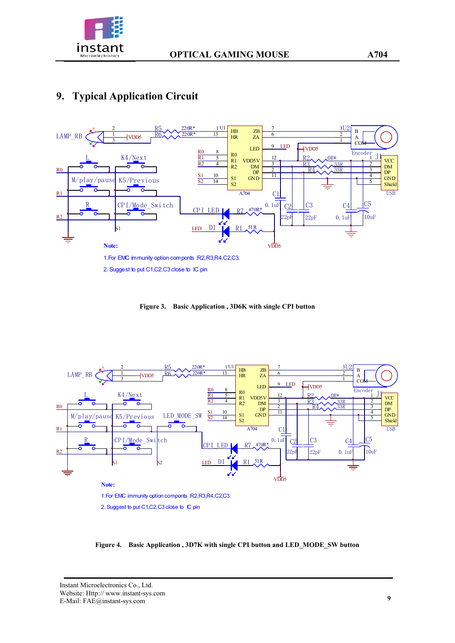

# **9. Typical Application Circuit**



**Figure 3. Basic Application , 3D6K with single CPI button** 



**Figure 4. Basic Application , 3D7K with single CPI button and LED\_MODE\_SW button**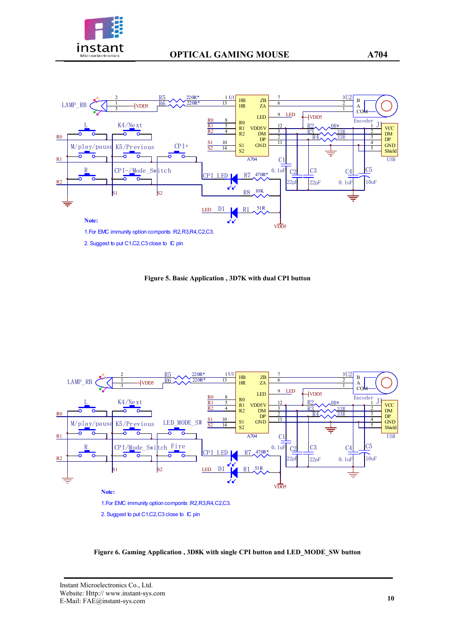



2. Suggest to put C1, C2, C3 close to IC pin

**Figure 5. Basic Application , 3D7K with dual CPI button** 



**Figure 6. Gaming Application , 3D8K with single CPI button and LED\_MODE\_SW button**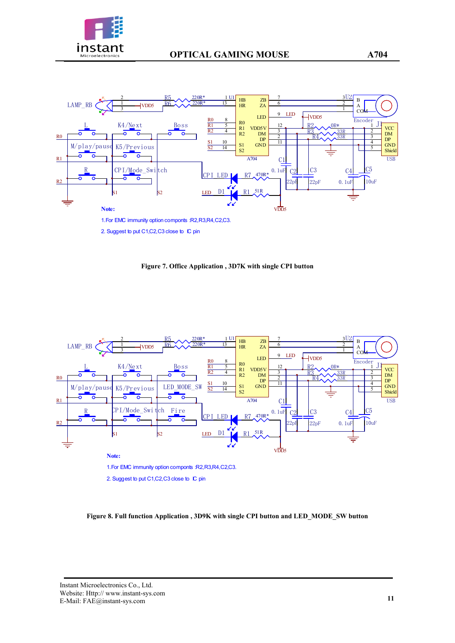



**Figure 7. Office Application , 3D7K with single CPI button** 



**Figure 8. Full function Application , 3D9K with single CPI button and LED\_MODE\_SW button**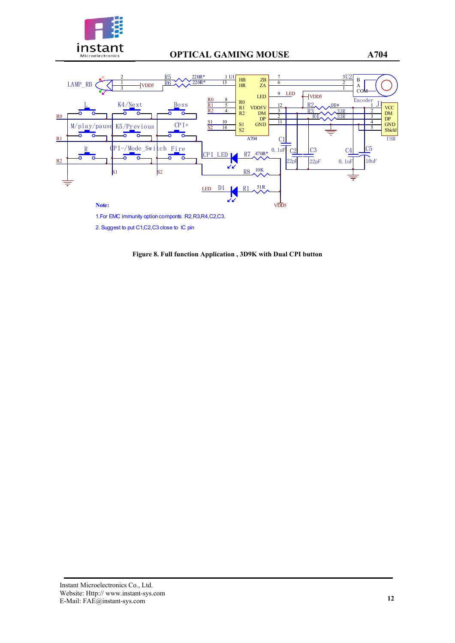

# **instant optical GAMING MOUSE A704 A704**



1.For EMC immunity option componts :R2,R3,R4,C2,C3.

2. Suggest to put C1,C2,C3 close to IC pin

**Figure 8. Full function Application , 3D9K with Dual CPI button**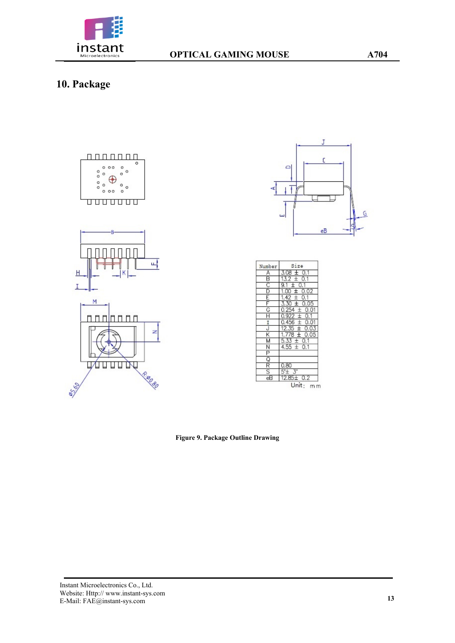

# **10. Package**





| Number                      | Size              |
|-----------------------------|-------------------|
| Α                           | 0.1               |
| В                           | 0.1               |
| 이미디                         |                   |
|                             | 0.02              |
|                             |                   |
|                             |                   |
| $\frac{G}{H}$               | 0.01              |
|                             | 0.1<br>÷          |
|                             |                   |
| $\frac{1}{J}$               | 03                |
| $\frac{\kappa}{\mathsf{M}}$ | Æ<br>0.05         |
|                             | 0.1               |
|                             | 0.1<br>$4.55 \pm$ |
|                             |                   |
| 이찌이기지                       |                   |
|                             | 0.80              |
|                             | 5'±               |
| eΒ                          | 12.85±<br>0.2     |
|                             | Unit:             |

**Figure 9. Package Outline Drawing**